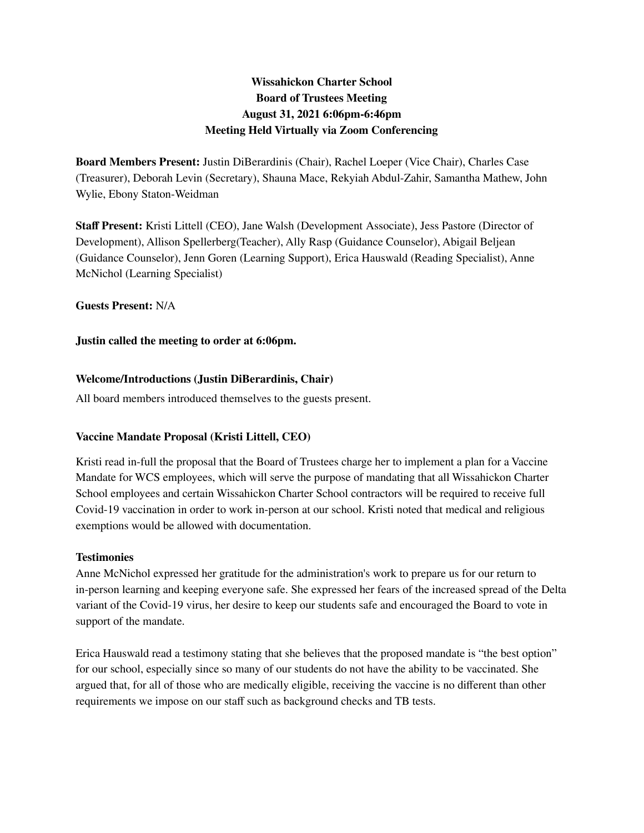# **Wissahickon Charter School Board of Trustees Meeting August 31, 2021 6:06pm-6:46pm Meeting Held Virtually via Zoom Conferencing**

**Board Members Present:** Justin DiBerardinis (Chair), Rachel Loeper (Vice Chair), Charles Case (Treasurer), Deborah Levin (Secretary), Shauna Mace, Rekyiah Abdul-Zahir, Samantha Mathew, John Wylie, Ebony Staton-Weidman

**Staff Present:** Kristi Littell (CEO), Jane Walsh (Development Associate), Jess Pastore (Director of Development), Allison Spellerberg(Teacher), Ally Rasp (Guidance Counselor), Abigail Beljean (Guidance Counselor), Jenn Goren (Learning Support), Erica Hauswald (Reading Specialist), Anne McNichol (Learning Specialist)

**Guests Present:** N/A

**Justin called the meeting to order at 6:06pm.**

### **Welcome/Introductions (Justin DiBerardinis, Chair)**

All board members introduced themselves to the guests present.

### **Vaccine Mandate Proposal (Kristi Littell, CEO)**

Kristi read in-full the proposal that the Board of Trustees charge her to implement a plan for a Vaccine Mandate for WCS employees, which will serve the purpose of mandating that all Wissahickon Charter School employees and certain Wissahickon Charter School contractors will be required to receive full Covid-19 vaccination in order to work in-person at our school. Kristi noted that medical and religious exemptions would be allowed with documentation.

### **Testimonies**

Anne McNichol expressed her gratitude for the administration's work to prepare us for our return to in-person learning and keeping everyone safe. She expressed her fears of the increased spread of the Delta variant of the Covid-19 virus, her desire to keep our students safe and encouraged the Board to vote in support of the mandate.

Erica Hauswald read a testimony stating that she believes that the proposed mandate is "the best option" for our school, especially since so many of our students do not have the ability to be vaccinated. She argued that, for all of those who are medically eligible, receiving the vaccine is no different than other requirements we impose on our staff such as background checks and TB tests.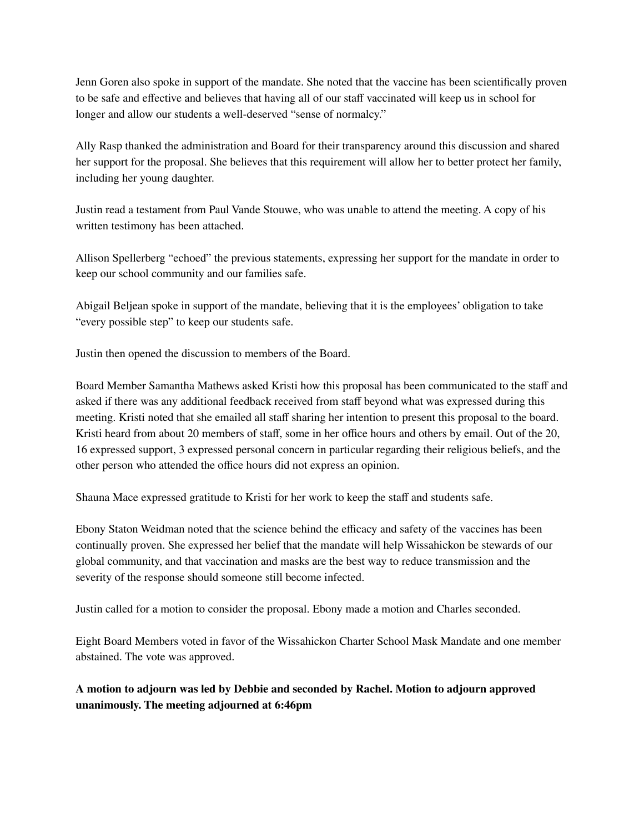Jenn Goren also spoke in support of the mandate. She noted that the vaccine has been scientifically proven to be safe and effective and believes that having all of our staff vaccinated will keep us in school for longer and allow our students a well-deserved "sense of normalcy."

Ally Rasp thanked the administration and Board for their transparency around this discussion and shared her support for the proposal. She believes that this requirement will allow her to better protect her family, including her young daughter.

Justin read a testament from Paul Vande Stouwe, who was unable to attend the meeting. A copy of his written testimony has been attached.

Allison Spellerberg "echoed" the previous statements, expressing her support for the mandate in order to keep our school community and our families safe.

Abigail Beljean spoke in support of the mandate, believing that it is the employees' obligation to take "every possible step" to keep our students safe.

Justin then opened the discussion to members of the Board.

Board Member Samantha Mathews asked Kristi how this proposal has been communicated to the staff and asked if there was any additional feedback received from staff beyond what was expressed during this meeting. Kristi noted that she emailed all staff sharing her intention to present this proposal to the board. Kristi heard from about 20 members of staff, some in her office hours and others by email. Out of the 20, 16 expressed support, 3 expressed personal concern in particular regarding their religious beliefs, and the other person who attended the office hours did not express an opinion.

Shauna Mace expressed gratitude to Kristi for her work to keep the staff and students safe.

Ebony Staton Weidman noted that the science behind the efficacy and safety of the vaccines has been continually proven. She expressed her belief that the mandate will help Wissahickon be stewards of our global community, and that vaccination and masks are the best way to reduce transmission and the severity of the response should someone still become infected.

Justin called for a motion to consider the proposal. Ebony made a motion and Charles seconded.

Eight Board Members voted in favor of the Wissahickon Charter School Mask Mandate and one member abstained. The vote was approved.

## **A motion to adjourn was led by Debbie and seconded by Rachel. Motion to adjourn approved unanimously. The meeting adjourned at 6:46pm**